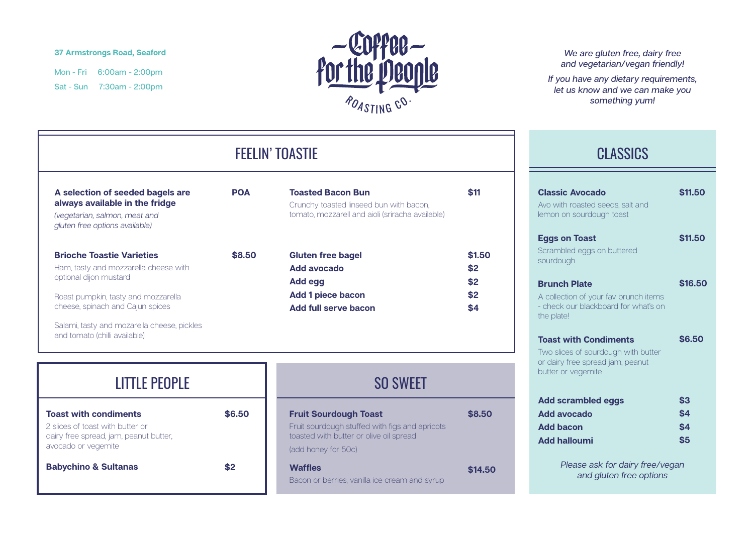#### **37 Armstrongs Road, Seaford**

Mon - Fri 6:00am - 2:00pm Sat - Sun 7:30am - 2:00pm



## FEELIN' TOASTIE

**The State** 

**POA**

| A selection of seeded bagels are |
|----------------------------------|
| always available in the fridge   |

*(vegetarian, salmon, meat and gluten free options available)*

|  | <b>Brioche Toastie Varieties</b>    |  |
|--|-------------------------------------|--|
|  | Llope tootu ond messacralle ebecase |  |

Ham, tasty and mozzarella cheese with optional dijon mustard

Roast pumpkin, tasty and mozzarella cheese, spinach and Cajun spices

Salami, tasty and mozarella cheese, pickles and tomato (chilli available)

|        | Crunchy toasted linseed bun with bacon,<br>tomato, mozzarell and aioli (sriracha available) |        |
|--------|---------------------------------------------------------------------------------------------|--------|
| \$8,50 | <b>Gluten free bagel</b>                                                                    | \$1.50 |
|        |                                                                                             |        |
|        | Add avocado                                                                                 | \$2    |
|        | Add egg                                                                                     | \$2    |
|        | <b>Add 1 piece bacon</b>                                                                    | \$2    |
|        | <b>Add full serve bacon</b>                                                                 | \$4    |

**\$11**

**Toasted Bacon Bun**

| <b>LITTLE PEOPLE</b>                                                       |        |                         |
|----------------------------------------------------------------------------|--------|-------------------------|
| <b>Toast with condiments</b>                                               | \$6.50 | <b>Fruit So</b>         |
| 2 slices of toast with butter or<br>dairy free spread, jam, peanut butter, |        | Fruit sour<br>toasted v |
| avocado or vegemite                                                        |        | (add hon                |
| <b>Babychino &amp; Sultanas</b>                                            | \$2    | <b>Waffles</b>          |
|                                                                            |        | Bacon or                |

## SO SWEET

| <b>Fruit Sourdough Toast</b>                                                              | \$8.50  |
|-------------------------------------------------------------------------------------------|---------|
| Fruit sourdough stuffed with figs and apricots<br>toasted with butter or olive oil spread |         |
| (add honey for 50c)                                                                       |         |
| <b>Waffles</b>                                                                            | \$14.50 |
| Bacon or berries, vanilla ice cream and syrup                                             |         |

#### *We are gluten free, dairy free and vegetarian/vegan friendly!*

*If you have any dietary requirements, let us know and we can make you something yum!*

### **CLASSICS**

| <b>Classic Avocado</b><br>Avo with roasted seeds, salt and<br>lemon on sourdough toast                                        | \$11.50                  |
|-------------------------------------------------------------------------------------------------------------------------------|--------------------------|
| <b>Eggs on Toast</b><br>Scrambled eggs on buttered<br>sourdough                                                               | \$11.50                  |
| <b>Brunch Plate</b><br>A collection of your fay brunch items<br>- check our blackboard for what's on<br>the plate!            | \$16.50                  |
| <b>Toast with Condiments</b><br>Two slices of sourdough with butter<br>or dairy free spread jam, peanut<br>butter or vegemite | \$6.50                   |
| <b>Add scrambled eggs</b><br><b>Add avocado</b><br><b>Add bacon</b><br><b>Add halloumi</b>                                    | \$3<br>\$4<br>\$4<br>\$5 |
| Please ask for dairy free/vegan<br>and gluten free options                                                                    |                          |